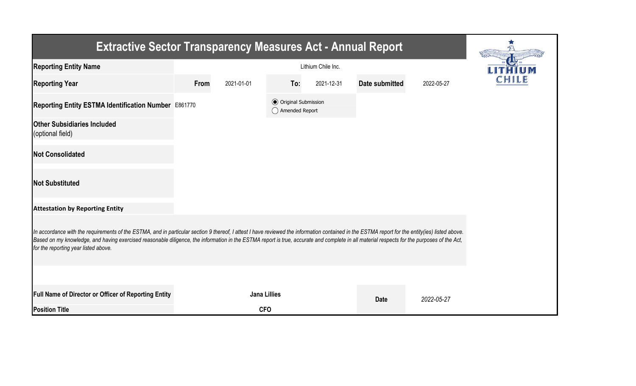| <b>Extractive Sector Transparency Measures Act - Annual Report</b>                                                                                                                                                                                                                                                                                                                                                                    |      |                     |                                                  |            |                |            |  |
|---------------------------------------------------------------------------------------------------------------------------------------------------------------------------------------------------------------------------------------------------------------------------------------------------------------------------------------------------------------------------------------------------------------------------------------|------|---------------------|--------------------------------------------------|------------|----------------|------------|--|
| <b>Reporting Entity Name</b>                                                                                                                                                                                                                                                                                                                                                                                                          |      |                     |                                                  |            |                |            |  |
| <b>Reporting Year</b>                                                                                                                                                                                                                                                                                                                                                                                                                 | From | 2021-01-01          | To:                                              | 2021-12-31 | Date submitted | 2022-05-27 |  |
| Reporting Entity ESTMA Identification Number E861770                                                                                                                                                                                                                                                                                                                                                                                  |      |                     | <b>◎</b> Original Submission<br>◯ Amended Report |            |                |            |  |
| <b>Other Subsidiaries Included</b><br>(optional field)                                                                                                                                                                                                                                                                                                                                                                                |      |                     |                                                  |            |                |            |  |
| <b>Not Consolidated</b>                                                                                                                                                                                                                                                                                                                                                                                                               |      |                     |                                                  |            |                |            |  |
| <b>Not Substituted</b>                                                                                                                                                                                                                                                                                                                                                                                                                |      |                     |                                                  |            |                |            |  |
| <b>Attestation by Reporting Entity</b>                                                                                                                                                                                                                                                                                                                                                                                                |      |                     |                                                  |            |                |            |  |
| In accordance with the requirements of the ESTMA, and in particular section 9 thereof, I attest I have reviewed the information contained in the ESTMA report for the entity(ies) listed above.<br>Based on my knowledge, and having exercised reasonable diligence, the information in the ESTMA report is true, accurate and complete in all material respects for the purposes of the Act,<br>for the reporting year listed above. |      |                     |                                                  |            |                |            |  |
|                                                                                                                                                                                                                                                                                                                                                                                                                                       |      |                     |                                                  |            |                |            |  |
| Full Name of Director or Officer of Reporting Entity                                                                                                                                                                                                                                                                                                                                                                                  |      | <b>Jana Lillies</b> |                                                  |            | <b>Date</b>    | 2022-05-27 |  |
| <b>Position Title</b>                                                                                                                                                                                                                                                                                                                                                                                                                 |      | <b>CFO</b>          |                                                  |            |                |            |  |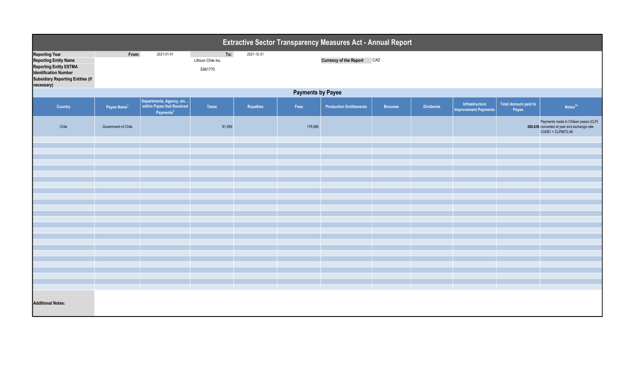| Extractive Sector Transparency Measures Act - Annual Report                                                                                                                      |                          |                                                                                 |                                      |                  |         |                                   |                |                  |                                               |                                      |                                                                                                             |  |
|----------------------------------------------------------------------------------------------------------------------------------------------------------------------------------|--------------------------|---------------------------------------------------------------------------------|--------------------------------------|------------------|---------|-----------------------------------|----------------|------------------|-----------------------------------------------|--------------------------------------|-------------------------------------------------------------------------------------------------------------|--|
| <b>Reporting Year</b><br><b>Reporting Entity Name</b><br><b>Reporting Entity ESTMA</b><br><b>Identification Number</b><br><b>Subsidiary Reporting Entities (if</b><br>necessary) | From:                    | 2021-01-01                                                                      | To:<br>Lithium Chile Inc.<br>E861770 | 2021-12-31       |         | <b>Currency of the Report CAD</b> |                |                  |                                               |                                      |                                                                                                             |  |
|                                                                                                                                                                                  | <b>Payments by Payee</b> |                                                                                 |                                      |                  |         |                                   |                |                  |                                               |                                      |                                                                                                             |  |
| Country                                                                                                                                                                          | Payee Name <sup>1</sup>  | Departments, Agency, etc<br>within Payee that Received<br>Payments <sup>2</sup> | <b>Taxes</b>                         | <b>Royalties</b> | Fees    | <b>Production Entitlements</b>    | <b>Bonuses</b> | <b>Dividends</b> | Infrastructure<br><b>Improvement Payments</b> | <b>Total Amount paid to</b><br>Payee | Notes <sup>34</sup>                                                                                         |  |
| Chile                                                                                                                                                                            | Government of Chile      |                                                                                 | 81,959                               |                  | 178,680 |                                   |                |                  |                                               |                                      | Payments made in Chilean pesos (CLP)<br>260,639 converted at year end exchange rate<br>CAD\$1 = CLP\$672,46 |  |
|                                                                                                                                                                                  |                          |                                                                                 |                                      |                  |         |                                   |                |                  |                                               |                                      |                                                                                                             |  |
|                                                                                                                                                                                  |                          |                                                                                 |                                      |                  |         |                                   |                |                  |                                               |                                      |                                                                                                             |  |
|                                                                                                                                                                                  |                          |                                                                                 |                                      |                  |         |                                   |                |                  |                                               |                                      |                                                                                                             |  |
|                                                                                                                                                                                  |                          |                                                                                 |                                      |                  |         |                                   |                |                  |                                               |                                      |                                                                                                             |  |
|                                                                                                                                                                                  |                          |                                                                                 |                                      |                  |         |                                   |                |                  |                                               |                                      |                                                                                                             |  |
|                                                                                                                                                                                  |                          |                                                                                 |                                      |                  |         |                                   |                |                  |                                               |                                      |                                                                                                             |  |
|                                                                                                                                                                                  |                          |                                                                                 |                                      |                  |         |                                   |                |                  |                                               |                                      |                                                                                                             |  |
|                                                                                                                                                                                  |                          |                                                                                 |                                      |                  |         |                                   |                |                  |                                               |                                      |                                                                                                             |  |
|                                                                                                                                                                                  |                          |                                                                                 |                                      |                  |         |                                   |                |                  |                                               |                                      |                                                                                                             |  |
|                                                                                                                                                                                  |                          |                                                                                 |                                      |                  |         |                                   |                |                  |                                               |                                      |                                                                                                             |  |
|                                                                                                                                                                                  |                          |                                                                                 |                                      |                  |         |                                   |                |                  |                                               |                                      |                                                                                                             |  |
|                                                                                                                                                                                  |                          |                                                                                 |                                      |                  |         |                                   |                |                  |                                               |                                      |                                                                                                             |  |
|                                                                                                                                                                                  |                          |                                                                                 |                                      |                  |         |                                   |                |                  |                                               |                                      |                                                                                                             |  |
|                                                                                                                                                                                  |                          |                                                                                 |                                      |                  |         |                                   |                |                  |                                               |                                      |                                                                                                             |  |
|                                                                                                                                                                                  |                          |                                                                                 |                                      |                  |         |                                   |                |                  |                                               |                                      |                                                                                                             |  |
|                                                                                                                                                                                  |                          |                                                                                 |                                      |                  |         |                                   |                |                  |                                               |                                      |                                                                                                             |  |
|                                                                                                                                                                                  |                          |                                                                                 |                                      |                  |         |                                   |                |                  |                                               |                                      |                                                                                                             |  |
| <b>Additional Notes:</b>                                                                                                                                                         |                          |                                                                                 |                                      |                  |         |                                   |                |                  |                                               |                                      |                                                                                                             |  |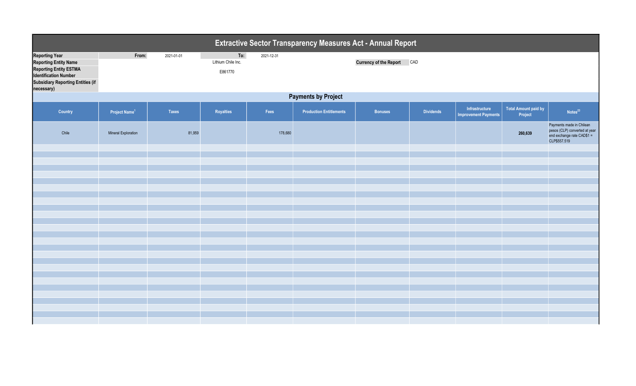|                                                                                                                                                                                  | Extractive Sector Transparency Measures Act - Annual Report |              |                                      |            |                                |                            |                  |                                               |                                        |                                                                                                          |  |  |
|----------------------------------------------------------------------------------------------------------------------------------------------------------------------------------|-------------------------------------------------------------|--------------|--------------------------------------|------------|--------------------------------|----------------------------|------------------|-----------------------------------------------|----------------------------------------|----------------------------------------------------------------------------------------------------------|--|--|
| <b>Reporting Year</b><br><b>Reporting Entity Name</b><br><b>Reporting Entity ESTMA</b><br><b>Identification Number</b><br><b>Subsidiary Reporting Entities (if</b><br>necessary) | From:                                                       | 2021-01-01   | To:<br>Lithium Chile Inc.<br>E861770 | 2021-12-31 |                                | Currency of the Report CAD |                  |                                               |                                        |                                                                                                          |  |  |
|                                                                                                                                                                                  | <b>Payments by Project</b>                                  |              |                                      |            |                                |                            |                  |                                               |                                        |                                                                                                          |  |  |
| Country                                                                                                                                                                          | Project Name <sup>1</sup>                                   | <b>Taxes</b> | Royalties                            | Fees       | <b>Production Entitlements</b> | <b>Bonuses</b>             | <b>Dividends</b> | Infrastructure<br><b>Improvement Payments</b> | <b>Total Amount paid by</b><br>Project | Notes <sup>23</sup>                                                                                      |  |  |
| Chile                                                                                                                                                                            | Mineral Exploration                                         | 81,959       |                                      | 178,680    |                                |                            |                  |                                               | 260,639                                | Payments made in Chilean<br>pesos (CLP) converted at year<br>end exchange rate $CAD$1 =$<br>CLP\$557.519 |  |  |
|                                                                                                                                                                                  |                                                             |              |                                      |            |                                |                            |                  |                                               |                                        |                                                                                                          |  |  |
|                                                                                                                                                                                  |                                                             |              |                                      |            |                                |                            |                  |                                               |                                        |                                                                                                          |  |  |
|                                                                                                                                                                                  |                                                             |              |                                      |            |                                |                            |                  |                                               |                                        |                                                                                                          |  |  |
|                                                                                                                                                                                  |                                                             |              |                                      |            |                                |                            |                  |                                               |                                        |                                                                                                          |  |  |
|                                                                                                                                                                                  |                                                             |              |                                      |            |                                |                            |                  |                                               |                                        |                                                                                                          |  |  |
|                                                                                                                                                                                  |                                                             |              |                                      |            |                                |                            |                  |                                               |                                        |                                                                                                          |  |  |
|                                                                                                                                                                                  |                                                             |              |                                      |            |                                |                            |                  |                                               |                                        |                                                                                                          |  |  |
|                                                                                                                                                                                  |                                                             |              |                                      |            |                                |                            |                  |                                               |                                        |                                                                                                          |  |  |
|                                                                                                                                                                                  |                                                             |              |                                      |            |                                |                            |                  |                                               |                                        |                                                                                                          |  |  |
|                                                                                                                                                                                  |                                                             |              |                                      |            |                                |                            |                  |                                               |                                        |                                                                                                          |  |  |
|                                                                                                                                                                                  |                                                             |              |                                      |            |                                |                            |                  |                                               |                                        |                                                                                                          |  |  |
|                                                                                                                                                                                  |                                                             |              |                                      |            |                                |                            |                  |                                               |                                        |                                                                                                          |  |  |
|                                                                                                                                                                                  |                                                             |              |                                      |            |                                |                            |                  |                                               |                                        |                                                                                                          |  |  |
|                                                                                                                                                                                  |                                                             |              |                                      |            |                                |                            |                  |                                               |                                        |                                                                                                          |  |  |
|                                                                                                                                                                                  |                                                             |              |                                      |            |                                |                            |                  |                                               |                                        |                                                                                                          |  |  |
|                                                                                                                                                                                  |                                                             |              |                                      |            |                                |                            |                  |                                               |                                        |                                                                                                          |  |  |
|                                                                                                                                                                                  |                                                             |              |                                      |            |                                |                            |                  |                                               |                                        |                                                                                                          |  |  |
|                                                                                                                                                                                  |                                                             |              |                                      |            |                                |                            |                  |                                               |                                        |                                                                                                          |  |  |
|                                                                                                                                                                                  |                                                             |              |                                      |            |                                |                            |                  |                                               |                                        |                                                                                                          |  |  |